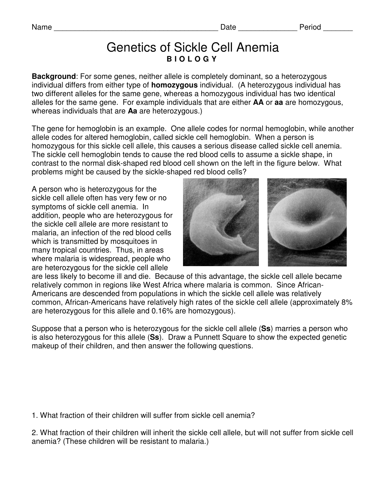## Genetics of Sickle Cell Anemia **B I O L O G Y**

**Background:** For some genes, neither allele is completely dominant, so a heterozygous individual differs from either type of **homozygous** individual. (A heterozygous individual has two different alleles for the same gene, whereas a homozygous individual has two identical alleles for the same gene. For example individuals that are either **AA** or **aa** are homozygous, whereas individuals that are **Aa** are heterozygous.)

The gene for hemoglobin is an example. One allele codes for normal hemoglobin, while another allele codes for altered hemoglobin, called sickle cell hemoglobin. When a person is homozygous for this sickle cell allele, this causes a serious disease called sickle cell anemia. The sickle cell hemoglobin tends to cause the red blood cells to assume a sickle shape, in contrast to the normal disk-shaped red blood cell shown on the left in the figure below. What problems might be caused by the sickle-shaped red blood cells?

A person who is heterozygous for the sickle cell allele often has very few or no symptoms of sickle cell anemia. In addition, people who are heterozygous for the sickle cell allele are more resistant to malaria, an infection of the red blood cells which is transmitted by mosquitoes in many tropical countries. Thus, in areas where malaria is widespread, people who are heterozygous for the sickle cell allele



are less likely to become ill and die. Because of this advantage, the sickle cell allele became relatively common in regions like West Africa where malaria is common. Since African-Americans are descended from populations in which the sickle cell allele was relatively common, African-Americans have relatively high rates of the sickle cell allele (approximately 8% are heterozygous for this allele and 0.16% are homozygous).

Suppose that a person who is heterozygous for the sickle cell allele (**Ss**) marries a person who is also heterozygous for this allele (**Ss**). Draw a Punnett Square to show the expected genetic makeup of their children, and then answer the following questions.

1. What fraction of their children will suffer from sickle cell anemia?

2. What fraction of their children will inherit the sickle cell allele, but will not suffer from sickle cell anemia? (These children will be resistant to malaria.)